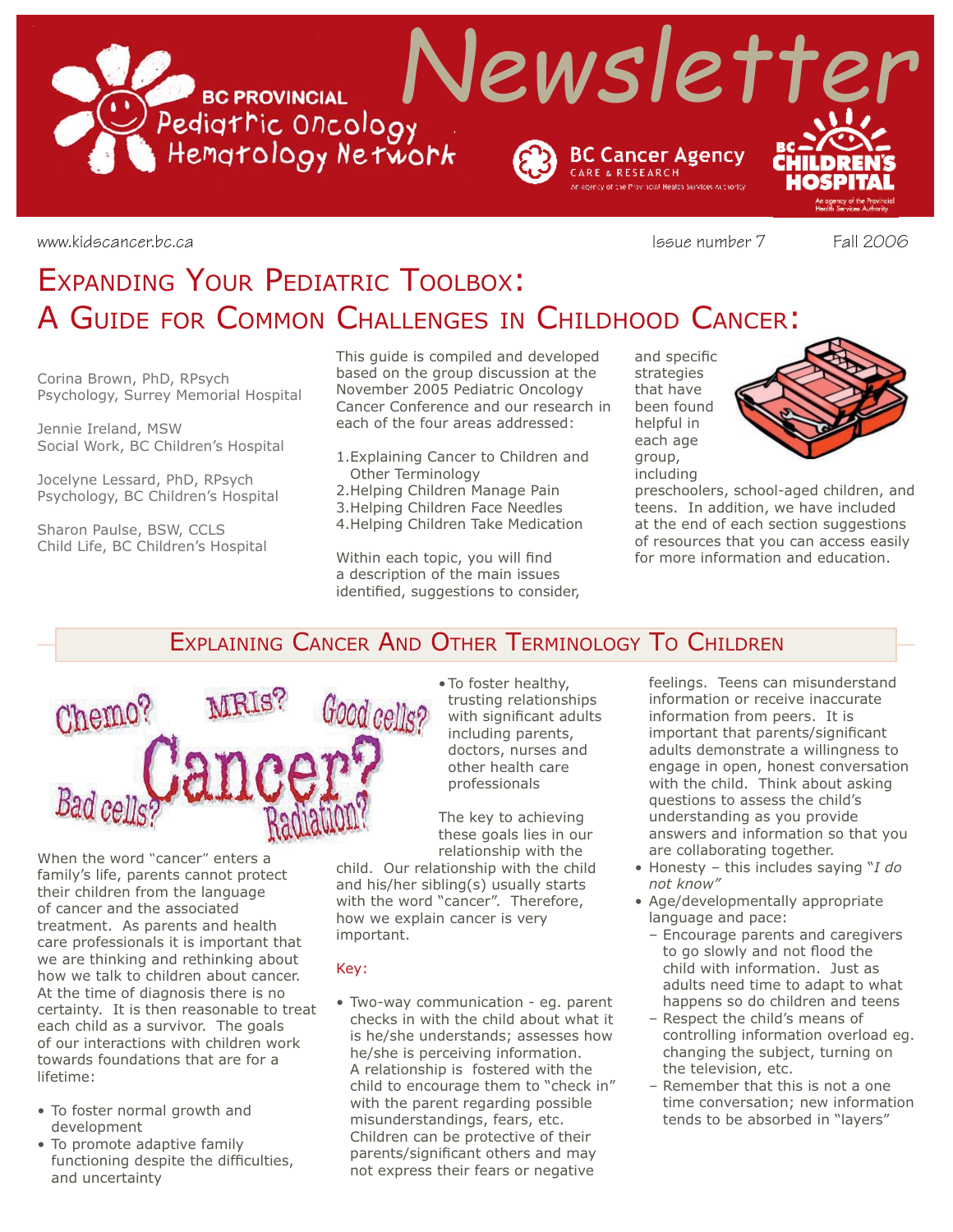

www.kidscancer.bc.ca issue number 7 Fall 2006

# EXPANDING YOUR PEDIATRIC TOOLBOX: A GUIDE FOR COMMON CHALLENGES IN CHILDHOOD CANCER:

Corina Brown, PhD, RPsych Psychology, Surrey Memorial Hospital

Jennie Ireland, MSW Social Work, BC Children's Hospital

Jocelyne Lessard, PhD, RPsych Psychology, BC Children's Hospital

Sharon Paulse, BSW, CCLS Child Life, BC Children's Hospital This guide is compiled and developed based on the group discussion at the November 2005 Pediatric Oncology Cancer Conference and our research in each of the four areas addressed:

1. Explaining Cancer to Children and Other Terminology 2. Helping Children Manage Pain 3. Helping Children Face Needles

4. Helping Children Take Medication

Within each topic, you will find a description of the main issues identified, suggestions to consider, and specific strategies that have been found helpful in each age group, including



preschoolers, school-aged children, and teens. In addition, we have included at the end of each section suggestions of resources that you can access easily for more information and education.

# EXPLAINING CANCER AND OTHER TERMINOLOGY TO CHILDREN



When the word "cancer" enters a family's life, parents cannot protect their children from the language of cancer and the associated treatment. As parents and health care professionals it is important that we are thinking and rethinking about how we talk to children about cancer. At the time of diagnosis there is no certainty. It is then reasonable to treat each child as a survivor. The goals of our interactions with children work towards foundations that are for a lifetime:

- To foster normal growth and development
- To promote adaptive family functioning despite the difficulties, and uncertainty

• To foster healthy, trusting relationships with significant adults including parents, doctors, nurses and other health care professionals

The key to achieving these goals lies in our relationship with the

child. Our relationship with the child and his/her sibling(s) usually starts with the word "cancer". Therefore, how we explain cancer is very important.

#### Key:

• Two-way communication - eg. parent checks in with the child about what it is he/she understands; assesses how he/she is perceiving information. A relationship is fostered with the child to encourage them to "check in" with the parent regarding possible misunderstandings, fears, etc. Children can be protective of their parents/significant others and may not express their fears or negative

feelings. Teens can misunderstand information or receive inaccurate information from peers. It is important that parents/significant adults demonstrate a willingness to engage in open, honest conversation with the child. Think about asking questions to assess the child's understanding as you provide answers and information so that you are collaborating together.

- Honesty this includes saying "*I do not know"*
- Age/developmentally appropriate language and pace:
	- Encourage parents and caregivers to go slowly and not flood the child with information. Just as adults need time to adapt to what happens so do children and teens
	- Respect the child's means of controlling information overload eg. changing the subject, turning on the television, etc.
	- Remember that this is not a one time conversation; new information tends to be absorbed in "layers"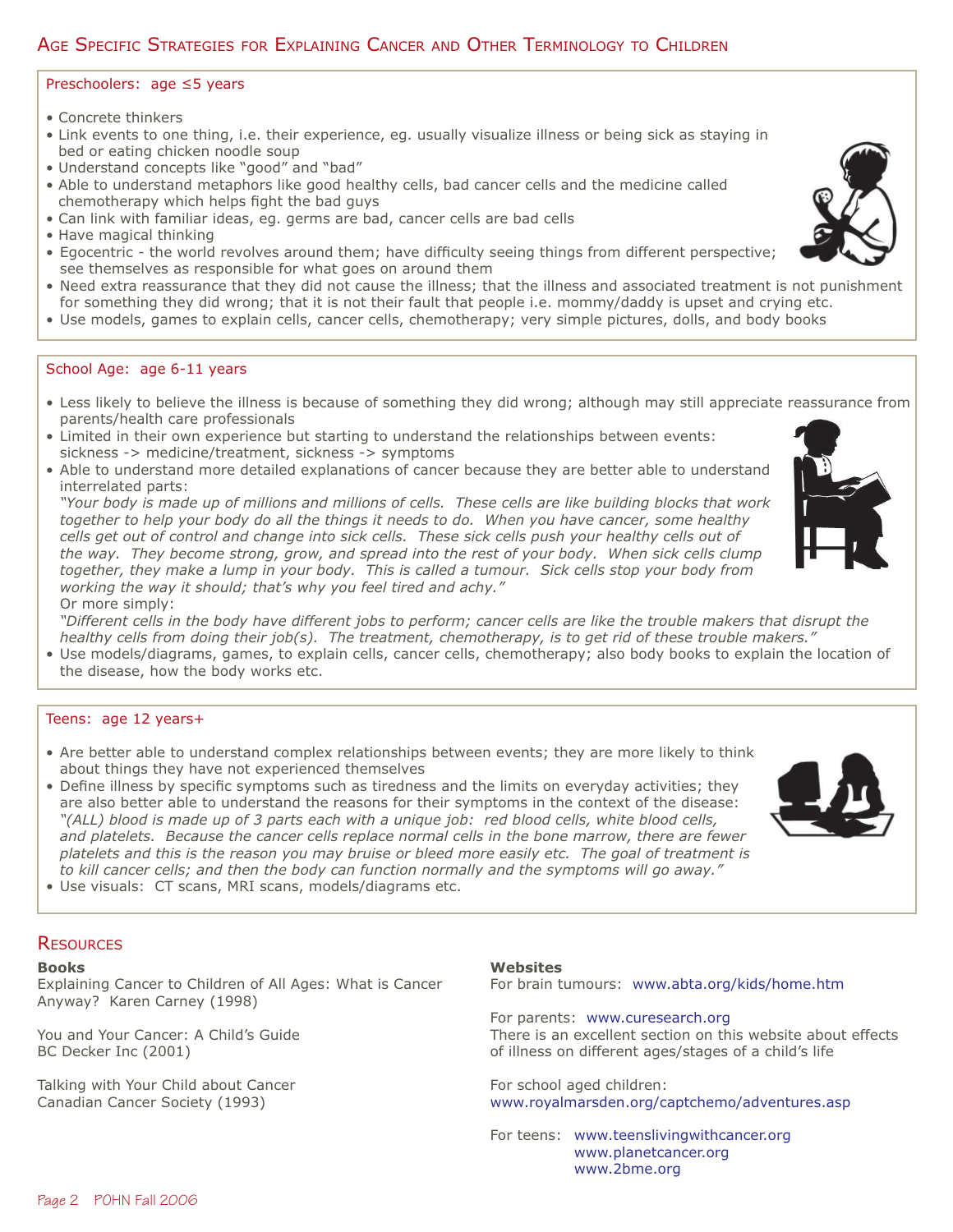# AGE SPECIFIC STRATEGIES FOR EXPLAINING CANCER AND OTHER TERMINOLOGY TO CHILDREN

#### Preschoolers: age ≤5 years

- Concrete thinkers
- Link events to one thing, i.e. their experience, eg. usually visualize illness or being sick as staying in bed or eating chicken noodle soup
- Understand concepts like "good" and "bad"
- Able to understand metaphors like good healthy cells, bad cancer cells and the medicine called chemotherapy which helps fight the bad guys
- Can link with familiar ideas, eg. germs are bad, cancer cells are bad cells
- Have magical thinking
- Egocentric the world revolves around them; have difficulty seeing things from different perspective; see themselves as responsible for what goes on around them
- Need extra reassurance that they did not cause the illness; that the illness and associated treatment is not punishment
- for something they did wrong; that it is not their fault that people i.e. mommy/daddy is upset and crying etc.
- Use models, games to explain cells, cancer cells, chemotherapy; very simple pictures, dolls, and body books

#### School Age: age 6-11 years

- Less likely to believe the illness is because of something they did wrong; although may still appreciate reassurance from parents/health care professionals
- Limited in their own experience but starting to understand the relationships between events: sickness -> medicine/treatment, sickness -> symptoms
- Able to understand more detailed explanations of cancer because they are better able to understand interrelated parts:

 *"Your body is made up of millions and millions of cells. These cells are like building blocks that work together to help your body do all the things it needs to do. When you have cancer, some healthy cells get out of control and change into sick cells. These sick cells push your healthy cells out of the way. They become strong, grow, and spread into the rest of your body. When sick cells clump together, they make a lump in your body. This is called a tumour. Sick cells stop your body from working the way it should; that's why you feel tired and achy."* Or more simply:

 *"Different cells in the body have different jobs to perform; cancer cells are like the trouble makers that disrupt the healthy cells from doing their job(s). The treatment, chemotherapy, is to get rid of these trouble makers."*

• Use models/diagrams, games, to explain cells, cancer cells, chemotherapy; also body books to explain the location of the disease, how the body works etc.

#### Teens: age 12 years+

- Are better able to understand complex relationships between events; they are more likely to think about things they have not experienced themselves
- Define illness by specific symptoms such as tiredness and the limits on everyday activities; they are also better able to understand the reasons for their symptoms in the context of the disease:  *"(ALL) blood is made up of 3 parts each with a unique job: red blood cells, white blood cells, and platelets. Because the cancer cells replace normal cells in the bone marrow, there are fewer platelets and this is the reason you may bruise or bleed more easily etc. The goal of treatment is to kill cancer cells; and then the body can function normally and the symptoms will go away."*
- Use visuals: CT scans, MRI scans, models/diagrams etc.

#### **RESOURCES**

#### **Books**

Explaining Cancer to Children of All Ages: What is Cancer Anyway? Karen Carney (1998)

You and Your Cancer: A Child's Guide BC Decker Inc (2001)

Talking with Your Child about Cancer Canadian Cancer Society (1993)

Page 2 POHN Fall 2006

#### **Websites**

For brain tumours: www.abta.org/kids/home.htm

For parents: www.curesearch.org There is an excellent section on this website about effects of illness on different ages/stages of a child's life

For school aged children: www.royalmarsden.org/captchemo/adventures.asp

For teens: www.teenslivingwithcancer.org www.planetcancer.org www.2bme.org







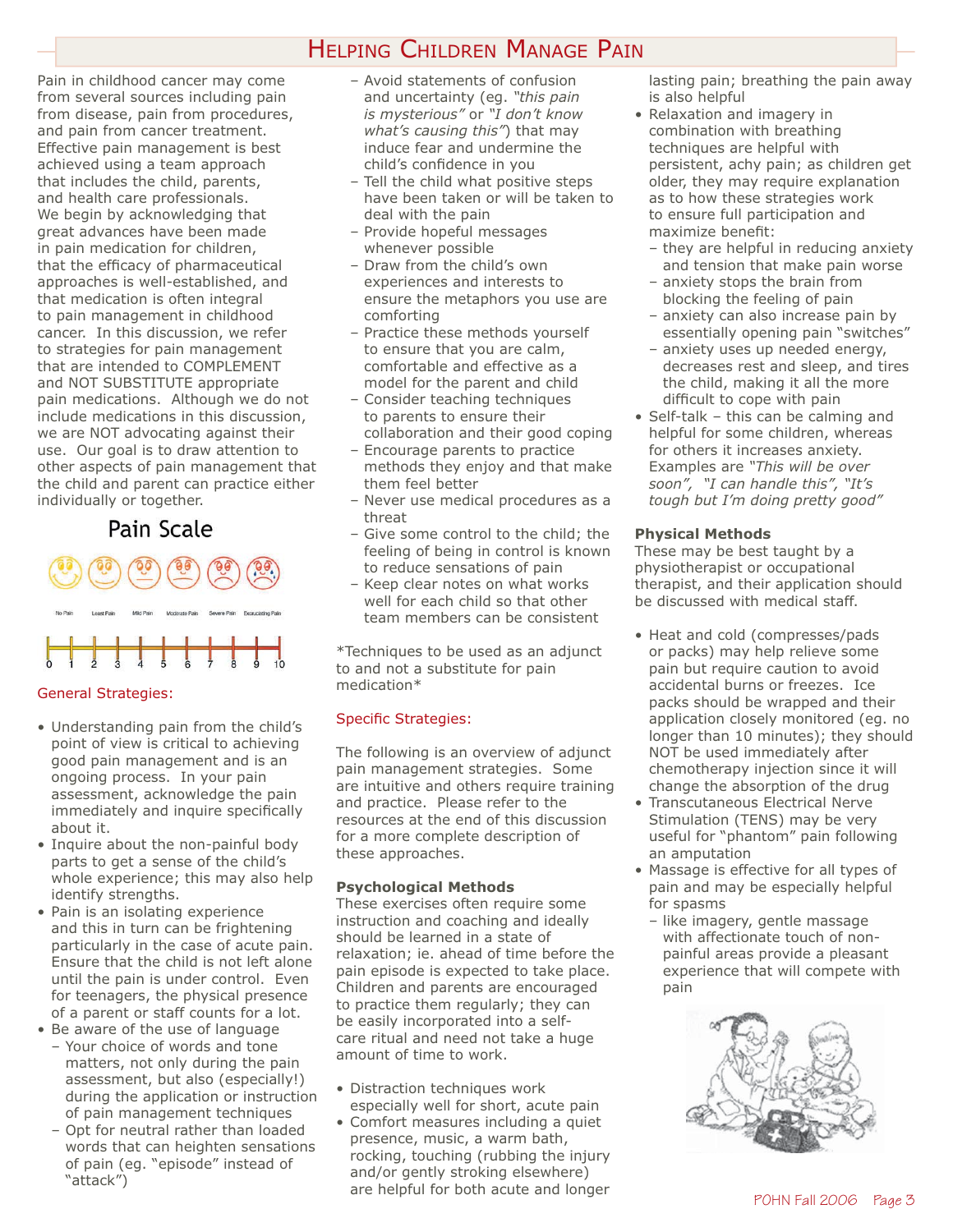# HELPING CHILDREN MANAGE PAIN

Pain in childhood cancer may come from several sources including pain from disease, pain from procedures, and pain from cancer treatment. Effective pain management is best achieved using a team approach that includes the child, parents, and health care professionals. We begin by acknowledging that great advances have been made in pain medication for children, that the efficacy of pharmaceutical approaches is well-established, and that medication is often integral to pain management in childhood cancer. In this discussion, we refer to strategies for pain management that are intended to COMPLEMENT and NOT SUBSTITUTE appropriate pain medications. Although we do not include medications in this discussion, we are NOT advocating against their use. Our goal is to draw attention to other aspects of pain management that the child and parent can practice either individually or together.

# Pain Scale



#### General Strategies:

- Understanding pain from the child's point of view is critical to achieving good pain management and is an ongoing process. In your pain assessment, acknowledge the pain immediately and inquire specifically about it.
- Inquire about the non-painful body parts to get a sense of the child's whole experience; this may also help identify strengths.
- Pain is an isolating experience and this in turn can be frightening particularly in the case of acute pain. Ensure that the child is not left alone until the pain is under control. Even for teenagers, the physical presence of a parent or staff counts for a lot.
- Be aware of the use of language – Your choice of words and tone matters, not only during the pain assessment, but also (especially!) during the application or instruction of pain management techniques
	- Opt for neutral rather than loaded words that can heighten sensations of pain (eg. "episode" instead of "attack")
- Avoid statements of confusion and uncertainty (eg. *"this pain is mysterious"* or *"I don't know what's causing this"*) that may induce fear and undermine the child's confidence in you
- Tell the child what positive steps have been taken or will be taken to deal with the pain
- Provide hopeful messages whenever possible
- Draw from the child's own experiences and interests to ensure the metaphors you use are comforting
- Practice these methods yourself to ensure that you are calm, comfortable and effective as a model for the parent and child
- Consider teaching techniques to parents to ensure their collaboration and their good coping
- Encourage parents to practice methods they enjoy and that make them feel better
- Never use medical procedures as a threat
- Give some control to the child; the feeling of being in control is known to reduce sensations of pain
- Keep clear notes on what works well for each child so that other team members can be consistent

\*Techniques to be used as an adjunct to and not a substitute for pain medication\*

#### Specific Strategies:

The following is an overview of adjunct pain management strategies. Some are intuitive and others require training and practice. Please refer to the resources at the end of this discussion for a more complete description of these approaches.

#### **Psychological Methods**

These exercises often require some instruction and coaching and ideally should be learned in a state of relaxation; ie. ahead of time before the pain episode is expected to take place. Children and parents are encouraged to practice them regularly; they can be easily incorporated into a selfcare ritual and need not take a huge amount of time to work.

- Distraction techniques work especially well for short, acute pain
- Comfort measures including a quiet presence, music, a warm bath, rocking, touching (rubbing the injury and/or gently stroking elsewhere) are helpful for both acute and longer

lasting pain; breathing the pain away is also helpful

- Relaxation and imagery in combination with breathing techniques are helpful with persistent, achy pain; as children get older, they may require explanation as to how these strategies work to ensure full participation and maximize benefit:
	- they are helpful in reducing anxiety and tension that make pain worse
	- anxiety stops the brain from blocking the feeling of pain
	- anxiety can also increase pain by essentially opening pain "switches"
	- anxiety uses up needed energy, decreases rest and sleep, and tires the child, making it all the more difficult to cope with pain
- Self-talk this can be calming and helpful for some children, whereas for others it increases anxiety. Examples are *"This will be over soon", "I can handle this", "It's tough but I'm doing pretty good"*

#### **Physical Methods**

These may be best taught by a physiotherapist or occupational therapist, and their application should be discussed with medical staff.

- Heat and cold (compresses/pads or packs) may help relieve some pain but require caution to avoid accidental burns or freezes. Ice packs should be wrapped and their application closely monitored (eg. no longer than 10 minutes); they should NOT be used immediately after chemotherapy injection since it will change the absorption of the drug
- Transcutaneous Electrical Nerve Stimulation (TENS) may be very useful for "phantom" pain following an amputation
- Massage is effective for all types of pain and may be especially helpful for spasms
	- like imagery, gentle massage with affectionate touch of nonpainful areas provide a pleasant experience that will compete with pain

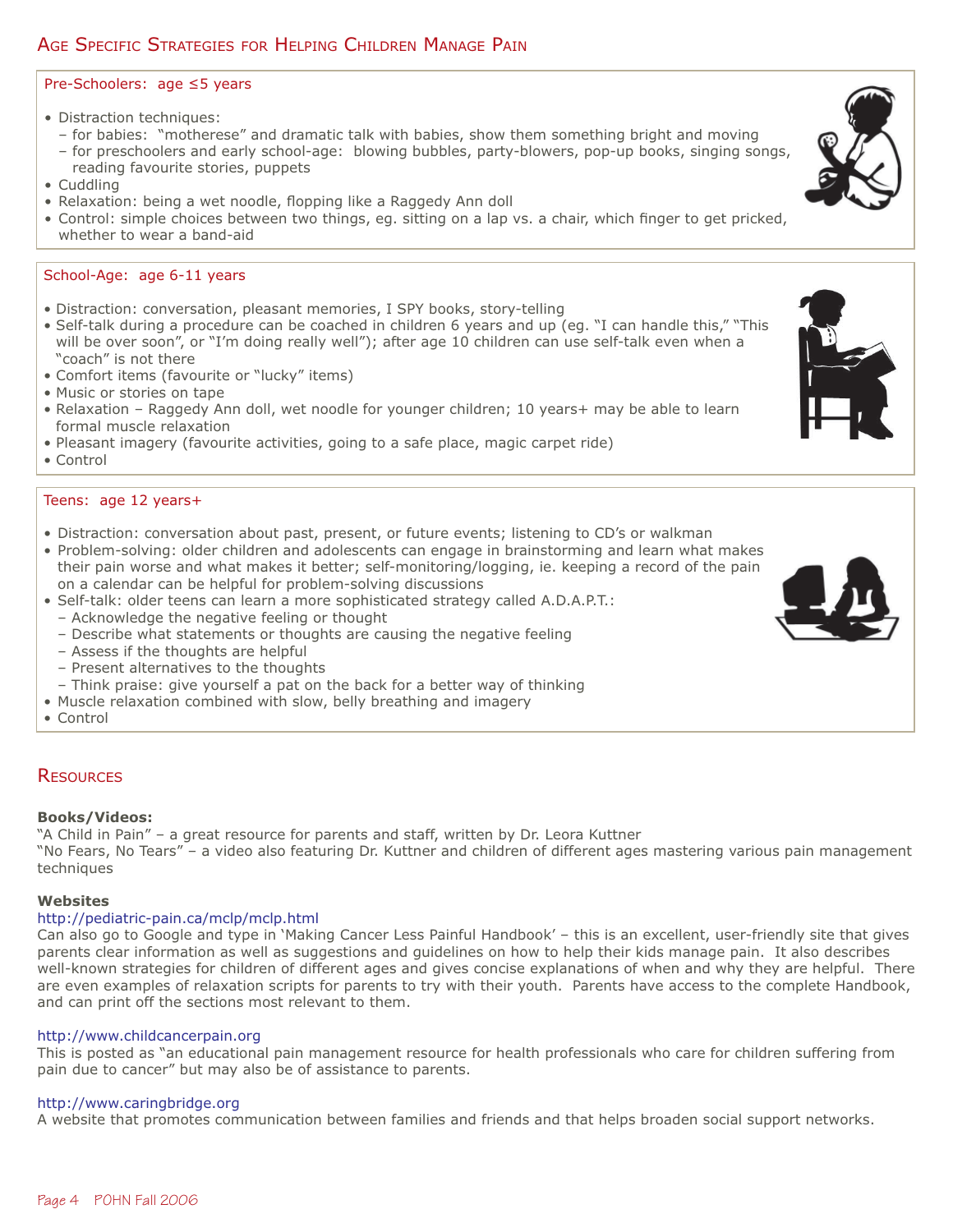# AGE SPECIFIC STRATEGIES FOR HELPING CHILDREN MANAGE PAIN

### Pre-Schoolers: age ≤5 years

- Distraction techniques:
- for babies: "motherese" and dramatic talk with babies, show them something bright and moving – for preschoolers and early school-age: blowing bubbles, party-blowers, pop-up books, singing songs,
- reading favourite stories, puppets
- Cuddling
- Relaxation: being a wet noodle, flopping like a Raggedy Ann doll
- Control: simple choices between two things, eg. sitting on a lap vs. a chair, which finger to get pricked, whether to wear a band-aid

### School-Age: age 6-11 years

- Distraction: conversation, pleasant memories, I SPY books, story-telling
- Self-talk during a procedure can be coached in children 6 years and up (eg. "I can handle this," "This will be over soon", or "I'm doing really well"); after age 10 children can use self-talk even when a "coach" is not there
- Comfort items (favourite or "lucky" items)
- Music or stories on tape
- Relaxation Raggedy Ann doll, wet noodle for younger children; 10 years+ may be able to learn formal muscle relaxation
- Pleasant imagery (favourite activities, going to a safe place, magic carpet ride)
- Control

#### Teens: age 12 years+

- Distraction: conversation about past, present, or future events; listening to CD's or walkman
- Problem-solving: older children and adolescents can engage in brainstorming and learn what makes their pain worse and what makes it better; self-monitoring/logging, ie. keeping a record of the pain on a calendar can be helpful for problem-solving discussions
- Self-talk: older teens can learn a more sophisticated strategy called A.D.A.P.T.:
	- Acknowledge the negative feeling or thought
	- Describe what statements or thoughts are causing the negative feeling
	- Assess if the thoughts are helpful
	- Present alternatives to the thoughts
	- Think praise: give yourself a pat on the back for a better way of thinking
- Muscle relaxation combined with slow, belly breathing and imagery

• Control

#### **RESOURCES**

#### **Books/Videos:**

"A Child in Pain" – a great resource for parents and staff, written by Dr. Leora Kuttner "No Fears, No Tears" – a video also featuring Dr. Kuttner and children of different ages mastering various pain management techniques

#### **Websites**

## http://pediatric-pain.ca/mclp/mclp.html

Can also go to Google and type in 'Making Cancer Less Painful Handbook' – this is an excellent, user-friendly site that gives parents clear information as well as suggestions and guidelines on how to help their kids manage pain. It also describes well-known strategies for children of different ages and gives concise explanations of when and why they are helpful. There are even examples of relaxation scripts for parents to try with their youth. Parents have access to the complete Handbook, and can print off the sections most relevant to them.

## http://www.childcancerpain.org

This is posted as "an educational pain management resource for health professionals who care for children suffering from pain due to cancer" but may also be of assistance to parents.

## http://www.caringbridge.org

A website that promotes communication between families and friends and that helps broaden social support networks.



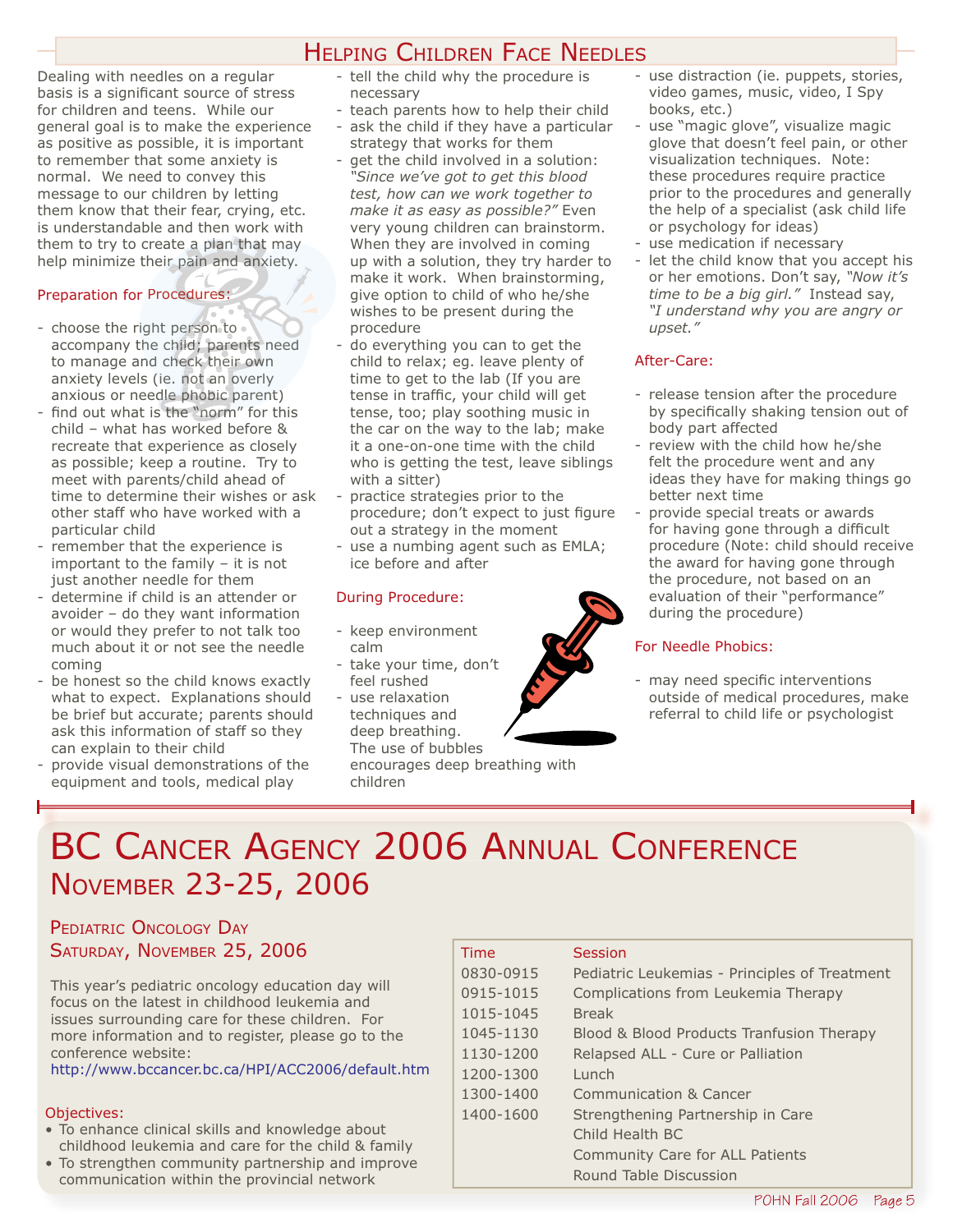# HELPING CHILDREN FACE NEEDLES

Dealing with needles on a regular basis is a significant source of stress for children and teens. While our general goal is to make the experience as positive as possible, it is important to remember that some anxiety is normal. We need to convey this message to our children by letting them know that their fear, crying, etc. is understandable and then work with them to try to create a plan that may help minimize their pain and anxiety.<br>Preparation for Procedures:

#### Preparation for Procedures:

- choose the right person to elp minimize their pain and anxiety.<br>
eparation for Procedures:<br>
choose the right person to<br>
accompany the child; parents need<br>
to manage and check their own to manage and check their own to manage and check their own<br>anxiety levels (ie. not an overly anxious or needle phobic parent) per:<br>hild pers<br>hild;<br>heck r pain and an:<br>cedures:<br>person to<br>hild; parents ures:<br>son to<br>par<br>c the<br>t an<br>obic n
- find out what is the "norm" for this child – what has worked before & recreate that experience as closely as possible; keep a routine. Try to meet with parents/child ahead of time to determine their wishes or ask other staff who have worked with a particular child
- remember that the experience is important to the family – it is not just another needle for them
- determine if child is an attender or avoider – do they want information or would they prefer to not talk too much about it or not see the needle coming
- be honest so the child knows exactly what to expect. Explanations should be brief but accurate; parents should ask this information of staff so they can explain to their child
- provide visual demonstrations of the equipment and tools, medical play
- tell the child why the procedure is necessary
- teach parents how to help their child - ask the child if they have a particular
- strategy that works for them get the child involved in a solution: *"Since we've got to get this blood test, how can we work together to make it as easy as possible?"* Even very young children can brainstorm. When they are involved in coming up with a solution, they try harder to make it work. When brainstorming, give option to child of who he/she wishes to be present during the procedure
- do everything you can to get the child to relax; eg. leave plenty of time to get to the lab (If you are tense in traffic, your child will get tense, too; play soothing music in the car on the way to the lab; make it a one-on-one time with the child who is getting the test, leave siblings with a sitter)
- practice strategies prior to the procedure; don't expect to just figure out a strategy in the moment
- use a numbing agent such as EMLA; ice before and after

#### During Procedure:

- keep environment calm
- take your time, don't feel rushed
- use relaxation techniques and deep breathing. The use of bubbles

encourages deep breathing with children

- use distraction (ie. puppets, stories, video games, music, video, I Spy books, etc.)
- use "magic glove", visualize magic glove that doesn't feel pain, or other visualization techniques. Note: these procedures require practice prior to the procedures and generally the help of a specialist (ask child life or psychology for ideas)
- use medication if necessary
- let the child know that you accept his or her emotions. Don't say, *"Now it's time to be a big girl."* Instead say, *"I understand why you are angry or upset."*

#### After-Care:

- release tension after the procedure by specifically shaking tension out of body part affected
- review with the child how he/she felt the procedure went and any ideas they have for making things go better next time
- provide special treats or awards for having gone through a difficult procedure (Note: child should receive the award for having gone through the procedure, not based on an evaluation of their "performance" during the procedure)

#### For Needle Phobics:

- may need specific interventions outside of medical procedures, make referral to child life or psychologist

# BC CANCER AGENCY 2006 ANNUAL CONFERENCE NOVEMBER 23-25, 2006

# PEDIATRIC ONCOLOGY DAY SATURDAY, NOVEMBER 25, 2006

This year's pediatric oncology education day will focus on the latest in childhood leukemia and issues surrounding care for these children. For more information and to register, please go to the conference website:

http://www.bccancer.bc.ca/HPI/ACC2006/default.htm

#### Objectives:

- To enhance clinical skills and knowledge about childhood leukemia and care for the child & family
- To strengthen community partnership and improve communication within the provincial network

| Time      | Session                                       |
|-----------|-----------------------------------------------|
| 0830-0915 | Pediatric Leukemias - Principles of Treatment |
| 0915-1015 | Complications from Leukemia Therapy           |
| 1015-1045 | <b>Break</b>                                  |
| 1045-1130 | Blood & Blood Products Tranfusion Therapy     |
| 1130-1200 | Relapsed ALL - Cure or Palliation             |
| 1200-1300 | Lunch                                         |
| 1300-1400 | Communication & Cancer                        |
| 1400-1600 | Strengthening Partnership in Care             |
|           | Child Health BC                               |
|           | <b>Community Care for ALL Patients</b>        |
|           | Round Table Discussion                        |

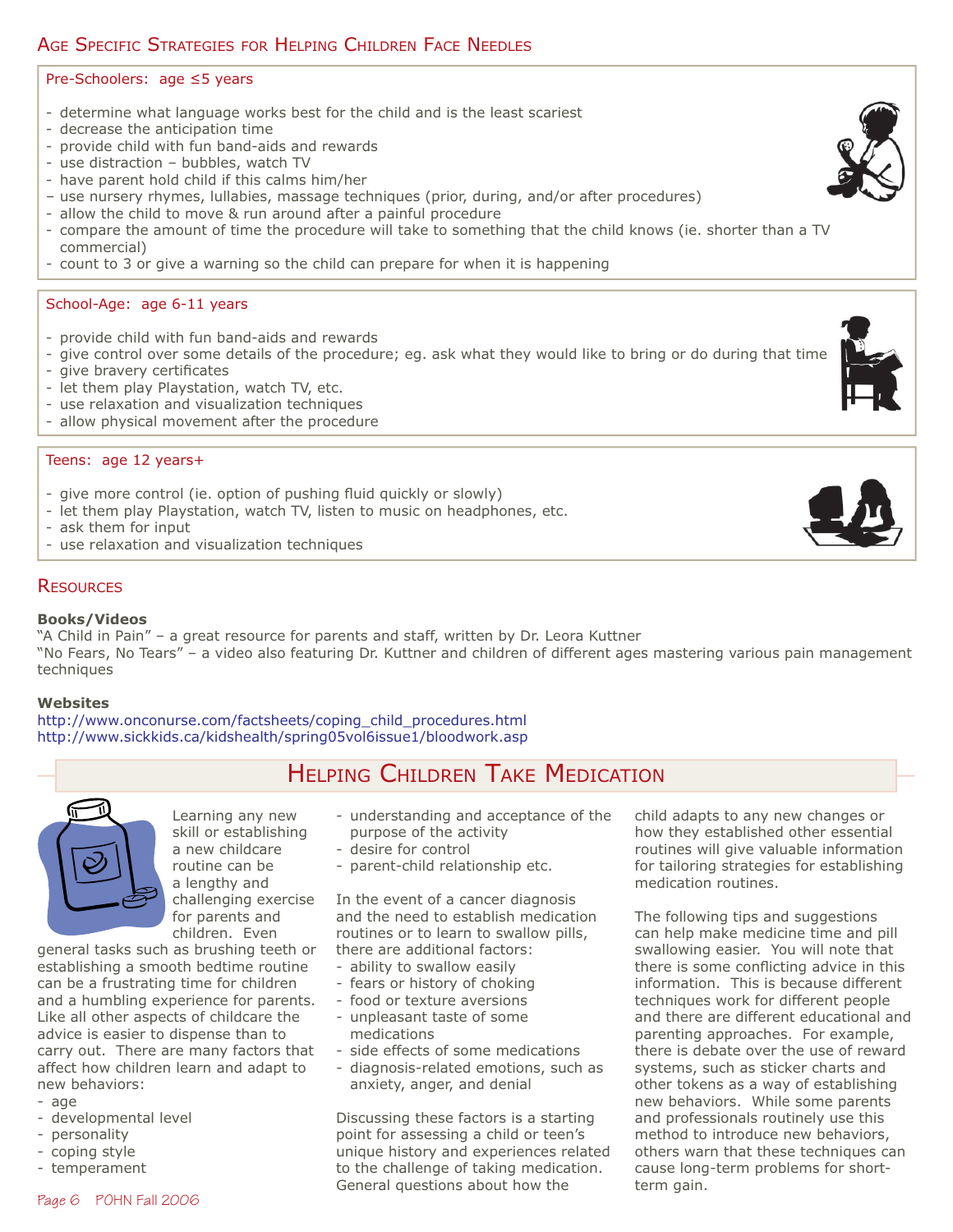# AGE SPECIFIC STRATEGIES FOR HELPING CHILDREN FACE NEEDLES

#### Pre-Schoolers: age ≤5 years

- determine what language works best for the child and is the least scariest
- decrease the anticipation time
- provide child with fun band-aids and rewards
- use distraction bubbles, watch TV
- have parent hold child if this calms him/her
- use nursery rhymes, lullabies, massage techniques (prior, during, and/or after procedures)
- allow the child to move & run around after a painful procedure
- compare the amount of time the procedure will take to something that the child knows (ie. shorter than a TV commercial)
- count to 3 or give a warning so the child can prepare for when it is happening

#### School-Age: age 6-11 years

- provide child with fun band-aids and rewards
- give control over some details of the procedure; eg. ask what they would like to bring or do during that time
- give bravery certificates
- let them play Playstation, watch TV, etc.
- use relaxation and visualization techniques
- allow physical movement after the procedure

#### Teens: age 12 years+

- give more control (ie. option of pushing fluid quickly or slowly)
- let them play Playstation, watch TV, listen to music on headphones, etc.
- ask them for input
- use relaxation and visualization techniques

#### **RESOURCES**

#### **Books/Videos**

"A Child in Pain" – a great resource for parents and staff, written by Dr. Leora Kuttner "No Fears, No Tears" – a video also featuring Dr. Kuttner and children of different ages mastering various pain management techniques

#### **Websites**

http://www.onconurse.com/factsheets/coping\_child\_procedures.html http://www.sickkids.ca/kidshealth/spring05vol6issue1/bloodwork.asp



Learning any new skill or establishing a new childcare routine can be a lengthy and challenging exercise for parents and children. Even

general tasks such as brushing teeth or establishing a smooth bedtime routine can be a frustrating time for children and a humbling experience for parents. Like all other aspects of childcare the advice is easier to dispense than to carry out. There are many factors that affect how children learn and adapt to new behaviors:

- age
- developmental level
- personality
- coping style
- temperament
- HELPING CHILDREN TAKE MEDICATION
	- understanding and acceptance of the purpose of the activity
	- desire for control
	- parent-child relationship etc.

In the event of a cancer diagnosis and the need to establish medication routines or to learn to swallow pills, there are additional factors:

- ability to swallow easily
- fears or history of choking
- food or texture aversions
- unpleasant taste of some medications
- side effects of some medications
- diagnosis-related emotions, such as anxiety, anger, and denial

Discussing these factors is a starting point for assessing a child or teen's unique history and experiences related to the challenge of taking medication. General questions about how the

child adapts to any new changes or how they established other essential routines will give valuable information for tailoring strategies for establishing medication routines.

The following tips and suggestions can help make medicine time and pill swallowing easier. You will note that there is some conflicting advice in this information. This is because different techniques work for different people and there are different educational and parenting approaches. For example, there is debate over the use of reward systems, such as sticker charts and other tokens as a way of establishing new behaviors. While some parents and professionals routinely use this method to introduce new behaviors, others warn that these techniques can cause long-term problems for shortterm gain.



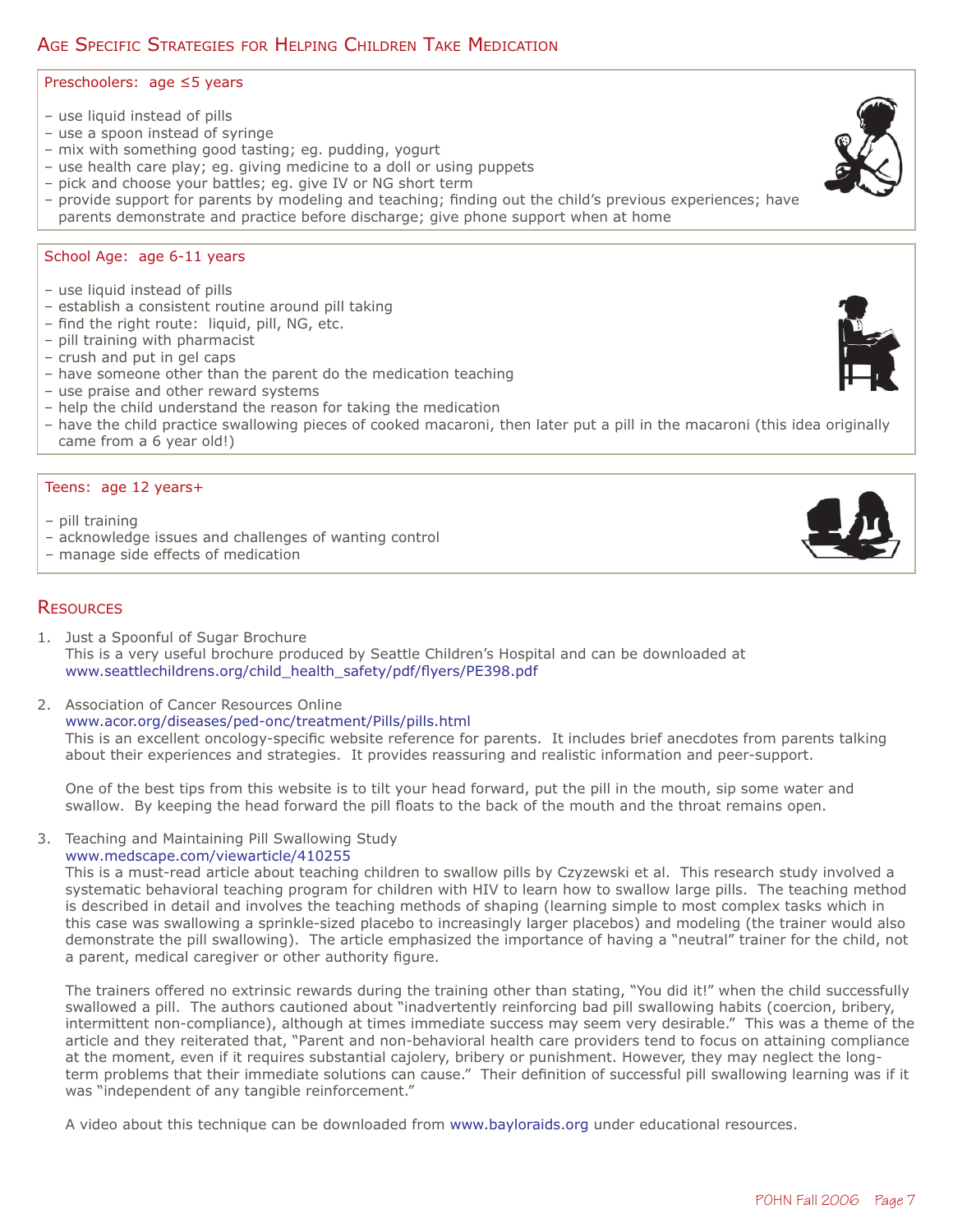# AGE SPECIFIC STRATEGIES FOR HELPING CHILDREN TAKE MEDICATION

#### Preschoolers: age ≤5 years

- use liquid instead of pills
- use a spoon instead of syringe
- mix with something good tasting; eg. pudding, yogurt
- use health care play; eg. giving medicine to a doll or using puppets
- pick and choose your battles; eg. give IV or NG short term
- provide support for parents by modeling and teaching; finding out the child's previous experiences; have parents demonstrate and practice before discharge; give phone support when at home

#### School Age: age 6-11 years

- use liquid instead of pills
- establish a consistent routine around pill taking
- find the right route: liquid, pill, NG, etc.
- pill training with pharmacist
- crush and put in gel caps
- have someone other than the parent do the medication teaching
- use praise and other reward systems
- help the child understand the reason for taking the medication
- have the child practice swallowing pieces of cooked macaroni, then later put a pill in the macaroni (this idea originally came from a 6 year old!)

#### Teens: age 12 years+

- pill training
- acknowledge issues and challenges of wanting control
- manage side effects of medication

### **RESOURCES**

- 1. Just a Spoonful of Sugar Brochure This is a very useful brochure produced by Seattle Children's Hospital and can be downloaded at www.seattlechildrens.org/child\_health\_safety/pdf/flyers/PE398.pdf
- 2. Association of Cancer Resources Online www.acor.org/diseases/ped-onc/treatment/Pills/pills.html This is an excellent oncology-specific website reference for parents. It includes brief anecdotes from parents talking about their experiences and strategies. It provides reassuring and realistic information and peer-support.

 One of the best tips from this website is to tilt your head forward, put the pill in the mouth, sip some water and swallow. By keeping the head forward the pill floats to the back of the mouth and the throat remains open.

3. Teaching and Maintaining Pill Swallowing Study www.medscape.com/viewarticle/410255

 This is a must-read article about teaching children to swallow pills by Czyzewski et al. This research study involved a systematic behavioral teaching program for children with HIV to learn how to swallow large pills. The teaching method is described in detail and involves the teaching methods of shaping (learning simple to most complex tasks which in this case was swallowing a sprinkle-sized placebo to increasingly larger placebos) and modeling (the trainer would also demonstrate the pill swallowing). The article emphasized the importance of having a "neutral" trainer for the child, not a parent, medical caregiver or other authority figure.

 The trainers offered no extrinsic rewards during the training other than stating, "You did it!" when the child successfully swallowed a pill. The authors cautioned about "inadvertently reinforcing bad pill swallowing habits (coercion, bribery, intermittent non-compliance), although at times immediate success may seem very desirable." This was a theme of the article and they reiterated that, "Parent and non-behavioral health care providers tend to focus on attaining compliance at the moment, even if it requires substantial cajolery, bribery or punishment. However, they may neglect the longterm problems that their immediate solutions can cause." Their definition of successful pill swallowing learning was if it was "independent of any tangible reinforcement."

A video about this technique can be downloaded from www.bayloraids.org under educational resources.